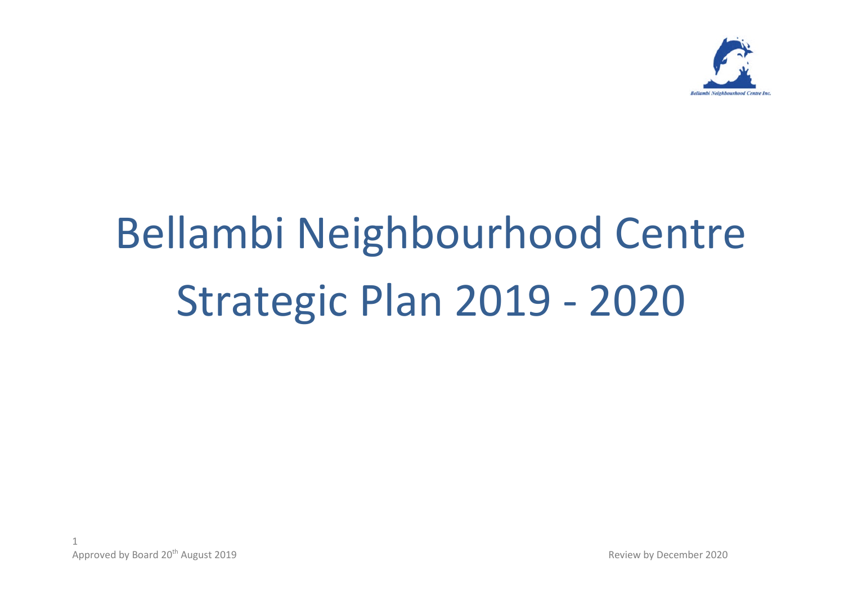

# Bellambi Neighbourhood Centre Strategic Plan 2019 - 2020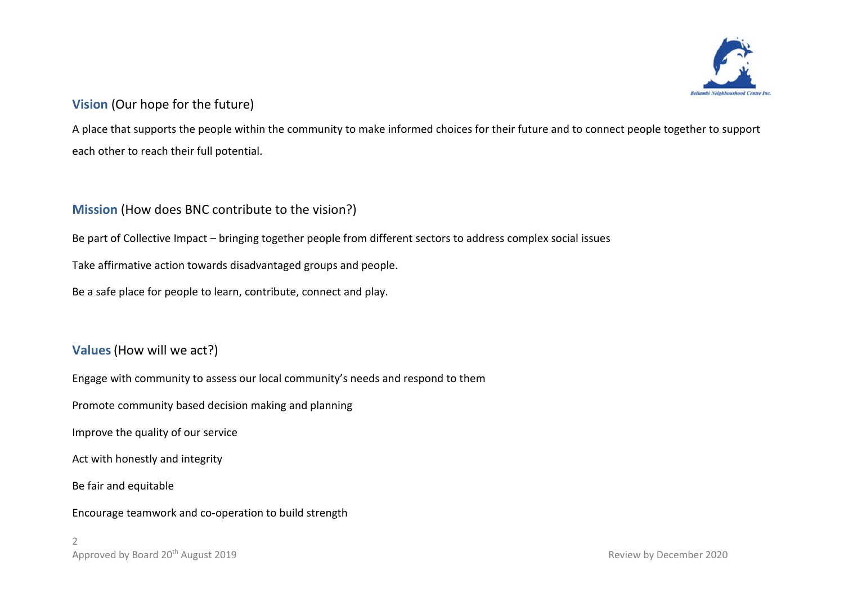

# **Vision** (Our hope for the future)

A place that supports the people within the community to make informed choices for their future and to connect people together to support each other to reach their full potential.

## **Mission** (How does BNC contribute to the vision?)

Be part of Collective Impact – bringing together people from different sectors to address complex social issues

Take affirmative action towards disadvantaged groups and people.

Be a safe place for people to learn, contribute, connect and play.

# **Values**(How will we act?)

Engage with community to assess our local community's needs and respond to them

Promote community based decision making and planning

Improve the quality of our service

Act with honestly and integrity

Be fair and equitable

#### Encourage teamwork and co-operation to build strength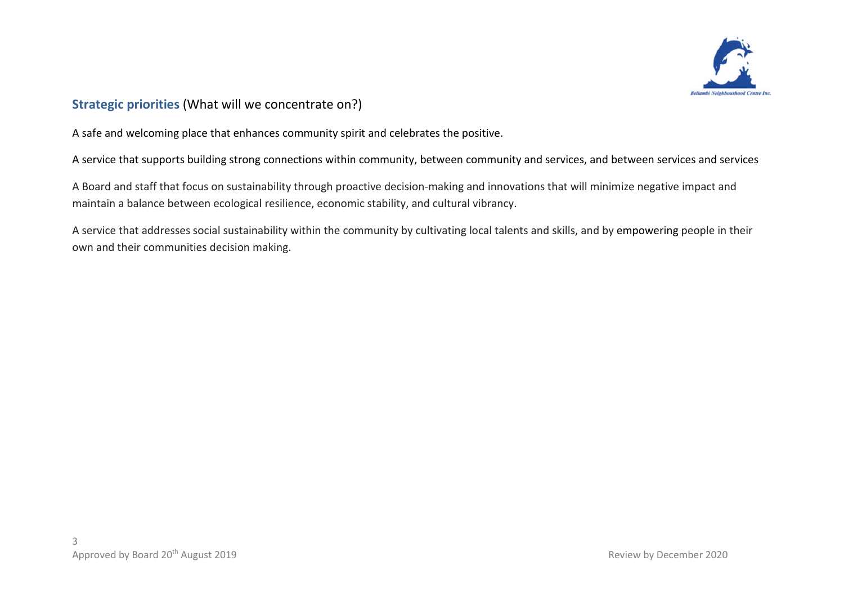

# **Strategic priorities** (What will we concentrate on?)

A safe and welcoming place that enhances community spirit and celebrates the positive.

A service that supports building strong connections within community, between community and services, and between services and services

A Board and staff that focus on sustainability through proactive decision-making and innovations that will minimize negative impact and maintain a balance between ecological resilience, economic stability, and cultural vibrancy.

A service that addresses social sustainability within the community by cultivating local talents and skills, and by [empowering](https://en.wikipedia.org/wiki/Empowerment) people in their own and their communities decision making.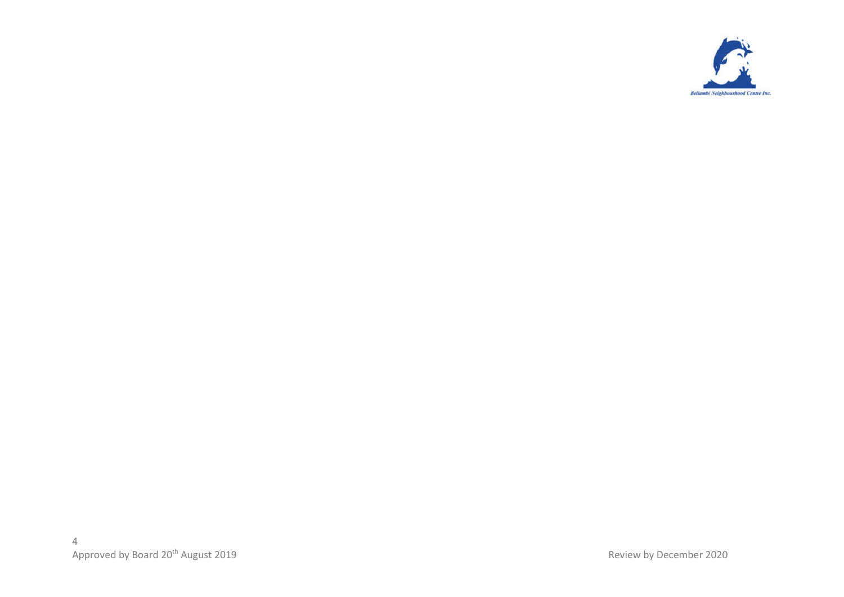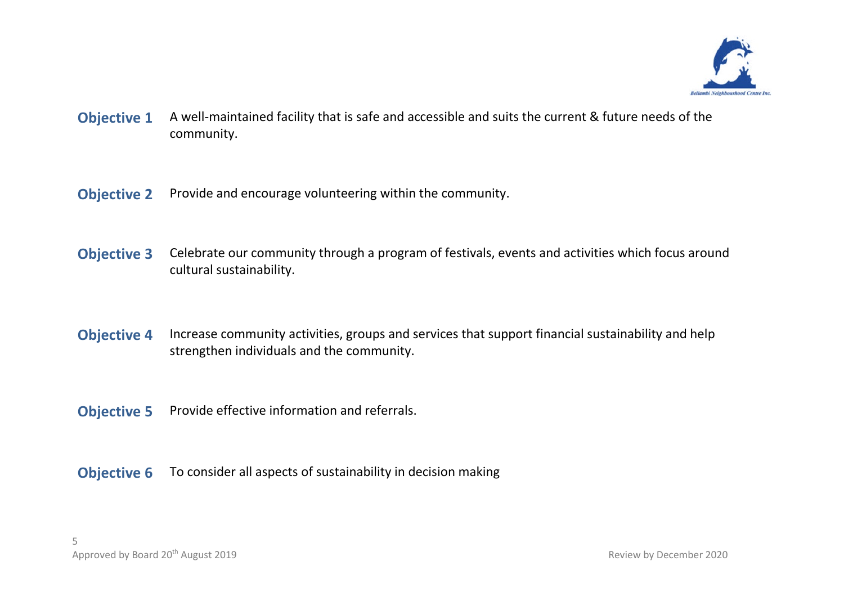

- **Objective 1** A well-maintained facility that is safe and accessible and suits the current & future needs of the community.
- **Objective 2** Provide and encourage volunteering within the community.
- **Objective 3** Celebrate our community through a program of festivals, events and activities which focus around cultural sustainability.
- **Objective 4** Increase community activities, groups and services that support financial sustainability and help strengthen individuals and the community.
- **Objective 5** Provide effective information and referrals.
- **Objective 6** To consider all aspects of sustainability in decision making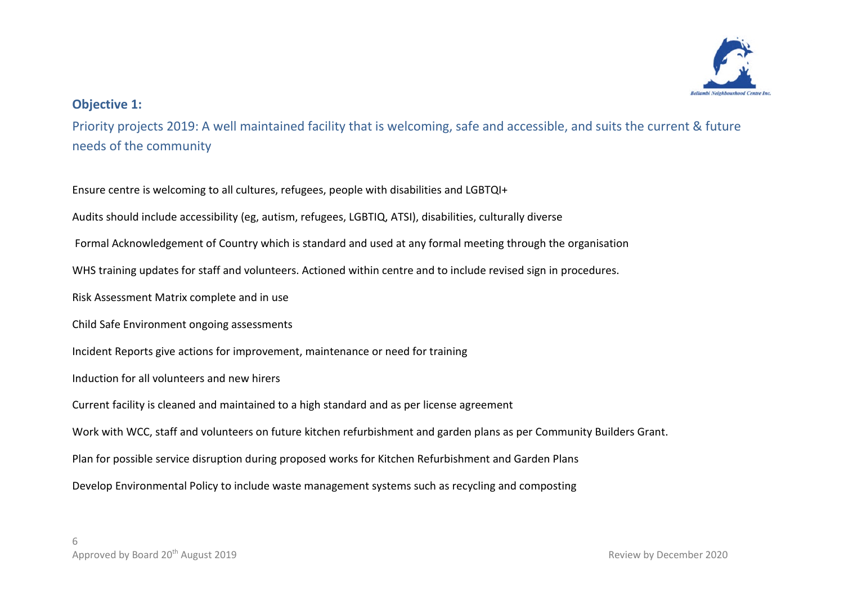

#### **Objective 1:**

Priority projects 2019: A well maintained facility that is welcoming, safe and accessible, and suits the current & future needs of the community

Ensure centre is welcoming to all cultures, refugees, people with disabilities and LGBTQI+ Audits should include accessibility (eg, autism, refugees, LGBTIQ, ATSI), disabilities, culturally diverse Formal Acknowledgement of Country which is standard and used at any formal meeting through the organisation WHS training updates for staff and volunteers. Actioned within centre and to include revised sign in procedures. Risk Assessment Matrix complete and in use Child Safe Environment ongoing assessments Incident Reports give actions for improvement, maintenance or need for training Induction for all volunteers and new hirers Current facility is cleaned and maintained to a high standard and as per license agreement Work with WCC, staff and volunteers on future kitchen refurbishment and garden plans as per Community Builders Grant. Plan for possible service disruption during proposed works for Kitchen Refurbishment and Garden Plans Develop Environmental Policy to include waste management systems such as recycling and composting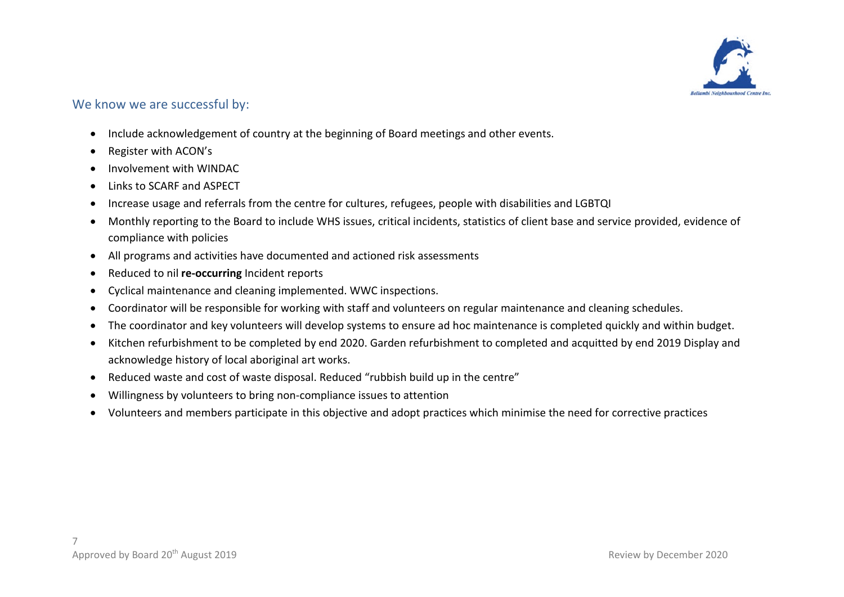

- Include acknowledgement of country at the beginning of Board meetings and other events.
- Register with ACON's
- Involvement with WINDAC
- Links to SCARF and ASPECT
- Increase usage and referrals from the centre for cultures, refugees, people with disabilities and LGBTQI
- Monthly reporting to the Board to include WHS issues, critical incidents, statistics of client base and service provided, evidence of compliance with policies
- All programs and activities have documented and actioned risk assessments
- Reduced to nil **re-occurring** Incident reports
- Cyclical maintenance and cleaning implemented. WWC inspections.
- Coordinator will be responsible for working with staff and volunteers on regular maintenance and cleaning schedules.
- The coordinator and key volunteers will develop systems to ensure ad hoc maintenance is completed quickly and within budget.
- Kitchen refurbishment to be completed by end 2020. Garden refurbishment to completed and acquitted by end 2019 Display and acknowledge history of local aboriginal art works.
- Reduced waste and cost of waste disposal. Reduced "rubbish build up in the centre"
- Willingness by volunteers to bring non-compliance issues to attention
- Volunteers and members participate in this objective and adopt practices which minimise the need for corrective practices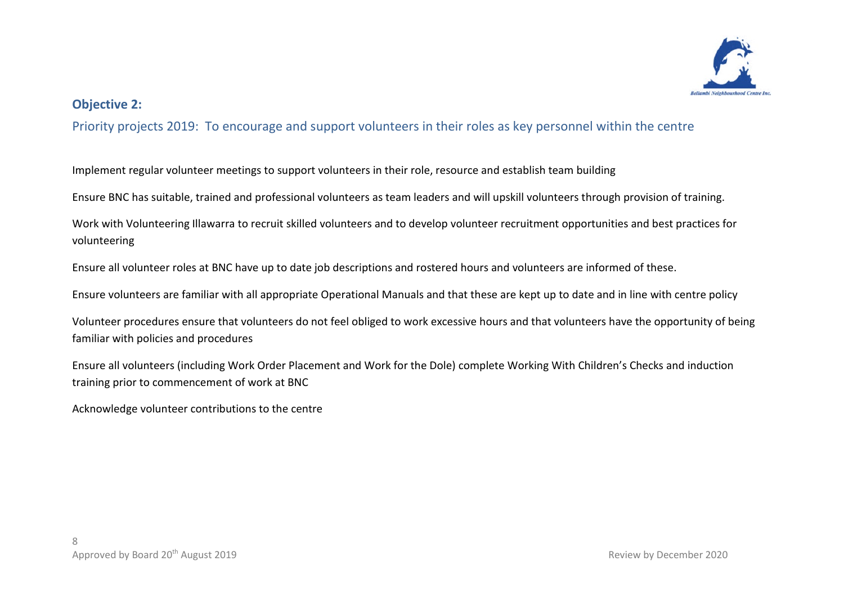

## **Objective 2:**

# Priority projects 2019: To encourage and support volunteers in their roles as key personnel within the centre

Implement regular volunteer meetings to support volunteers in their role, resource and establish team building

Ensure BNC has suitable, trained and professional volunteers as team leaders and will upskill volunteers through provision of training.

Work with Volunteering Illawarra to recruit skilled volunteers and to develop volunteer recruitment opportunities and best practices for volunteering

Ensure all volunteer roles at BNC have up to date job descriptions and rostered hours and volunteers are informed of these.

Ensure volunteers are familiar with all appropriate Operational Manuals and that these are kept up to date and in line with centre policy

Volunteer procedures ensure that volunteers do not feel obliged to work excessive hours and that volunteers have the opportunity of being familiar with policies and procedures

Ensure all volunteers (including Work Order Placement and Work for the Dole) complete Working With Children's Checks and induction training prior to commencement of work at BNC

Acknowledge volunteer contributions to the centre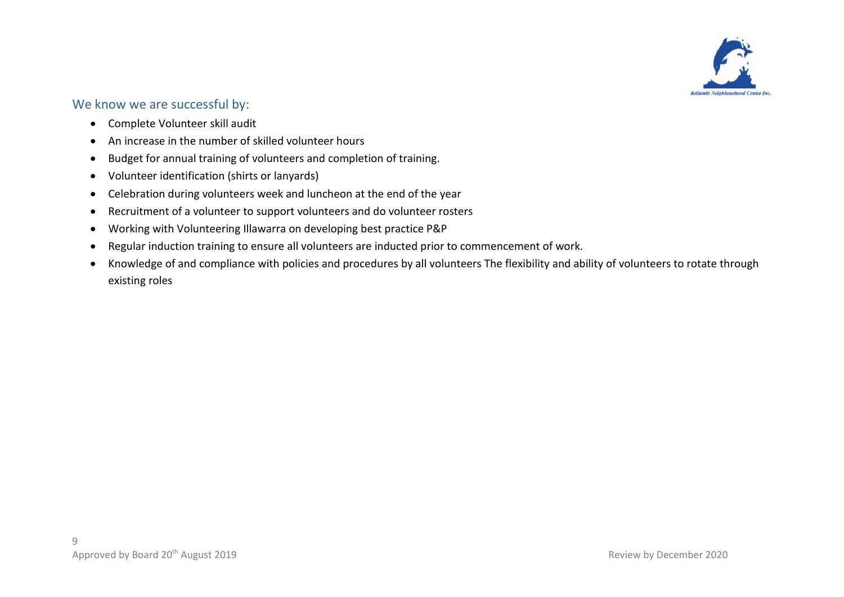

- Complete Volunteer skill audit
- An increase in the number of skilled volunteer hours
- Budget for annual training of volunteers and completion of training.
- Volunteer identification (shirts or lanyards)
- Celebration during volunteers week and luncheon at the end of the year
- Recruitment of a volunteer to support volunteers and do volunteer rosters
- Working with Volunteering Illawarra on developing best practice P&P
- Regular induction training to ensure all volunteers are inducted prior to commencement of work.
- Knowledge of and compliance with policies and procedures by all volunteers The flexibility and ability of volunteers to rotate through existing roles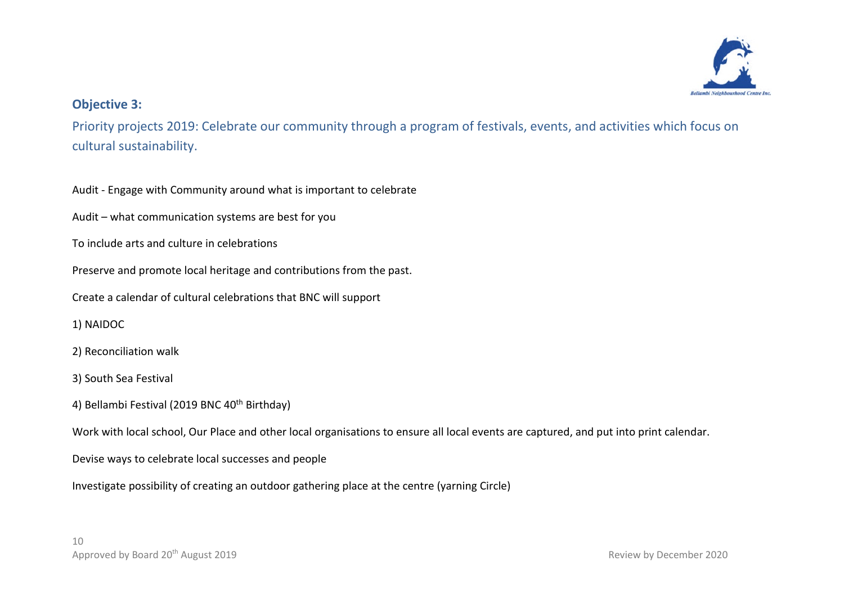

### **Objective 3:**

Priority projects 2019: Celebrate our community through a program of festivals, events, and activities which focus on cultural sustainability.

Audit - Engage with Community around what is important to celebrate

Audit – what communication systems are best for you

To include arts and culture in celebrations

Preserve and promote local heritage and contributions from the past.

Create a calendar of cultural celebrations that BNC will support

1) NAIDOC

2) Reconciliation walk

3) South Sea Festival

4) Bellambi Festival (2019 BNC 40<sup>th</sup> Birthday)

Work with local school, Our Place and other local organisations to ensure all local events are captured, and put into print calendar.

Devise ways to celebrate local successes and people

Investigate possibility of creating an outdoor gathering place at the centre (yarning Circle)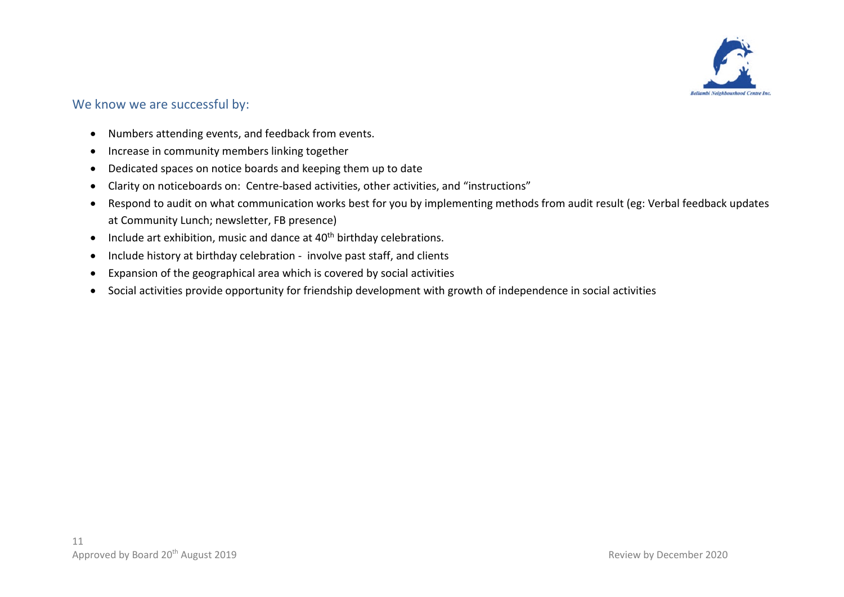

- Numbers attending events, and feedback from events.
- Increase in community members linking together
- Dedicated spaces on notice boards and keeping them up to date
- Clarity on noticeboards on: Centre-based activities, other activities, and "instructions"
- Respond to audit on what communication works best for you by implementing methods from audit result (eg: Verbal feedback updates at Community Lunch; newsletter, FB presence)
- Include art exhibition, music and dance at  $40<sup>th</sup>$  birthday celebrations.
- Include history at birthday celebration involve past staff, and clients
- Expansion of the geographical area which is covered by social activities
- Social activities provide opportunity for friendship development with growth of independence in social activities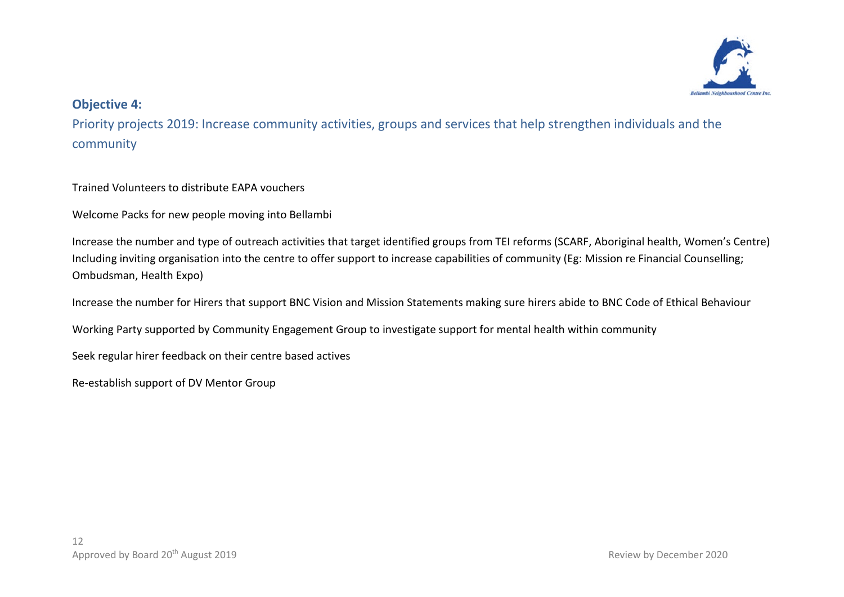

## **Objective 4:**

Priority projects 2019: Increase community activities, groups and services that help strengthen individuals and the community

Trained Volunteers to distribute EAPA vouchers

Welcome Packs for new people moving into Bellambi

Increase the number and type of outreach activities that target identified groups from TEI reforms (SCARF, Aboriginal health, Women's Centre) Including inviting organisation into the centre to offer support to increase capabilities of community (Eg: Mission re Financial Counselling; Ombudsman, Health Expo)

Increase the number for Hirers that support BNC Vision and Mission Statements making sure hirers abide to BNC Code of Ethical Behaviour

Working Party supported by Community Engagement Group to investigate support for mental health within community

Seek regular hirer feedback on their centre based actives

Re-establish support of DV Mentor Group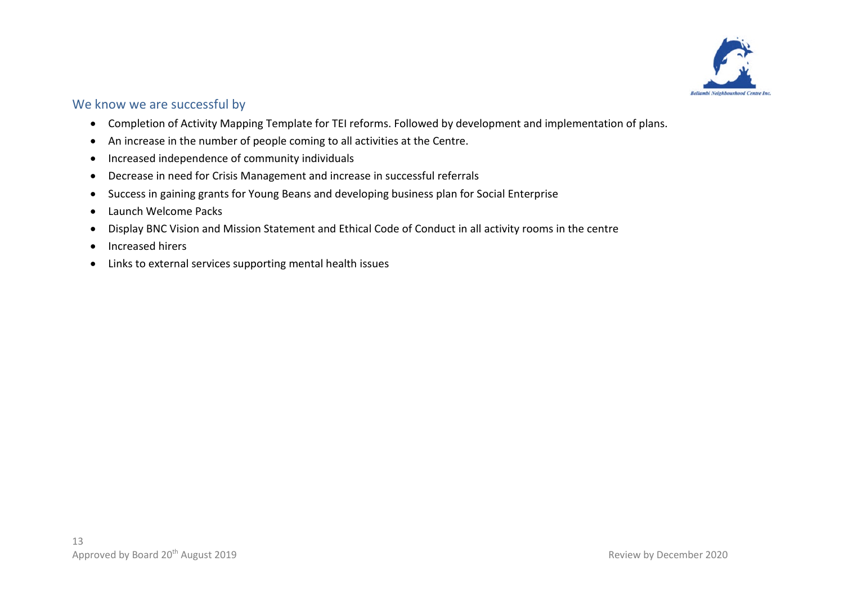

- Completion of Activity Mapping Template for TEI reforms. Followed by development and implementation of plans.
- An increase in the number of people coming to all activities at the Centre.
- Increased independence of community individuals
- Decrease in need for Crisis Management and increase in successful referrals
- Success in gaining grants for Young Beans and developing business plan for Social Enterprise
- Launch Welcome Packs
- Display BNC Vision and Mission Statement and Ethical Code of Conduct in all activity rooms in the centre
- Increased hirers
- Links to external services supporting mental health issues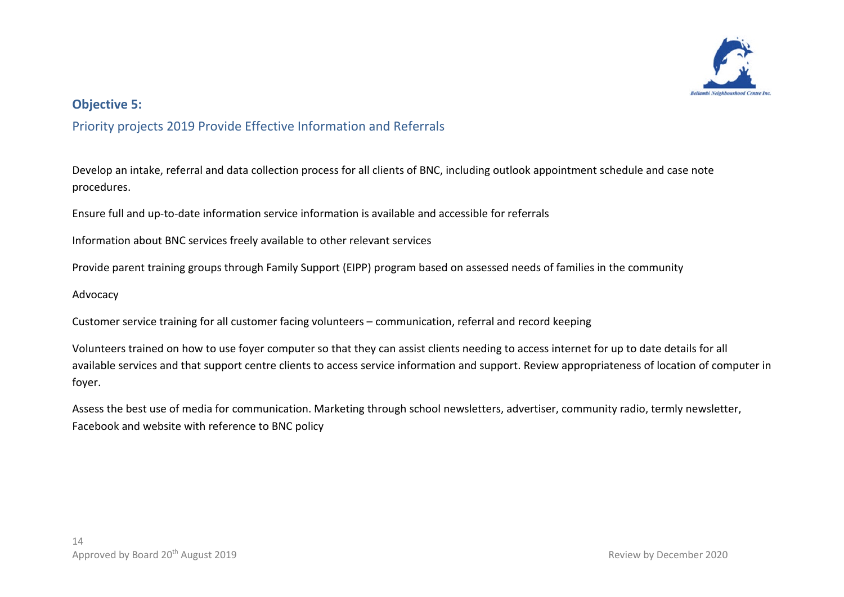

### **Objective 5:**

# Priority projects 2019 Provide Effective Information and Referrals

Develop an intake, referral and data collection process for all clients of BNC, including outlook appointment schedule and case note procedures.

Ensure full and up-to-date information service information is available and accessible for referrals

Information about BNC services freely available to other relevant services

Provide parent training groups through Family Support (EIPP) program based on assessed needs of families in the community

Advocacy

Customer service training for all customer facing volunteers – communication, referral and record keeping

Volunteers trained on how to use foyer computer so that they can assist clients needing to access internet for up to date details for all available services and that support centre clients to access service information and support. Review appropriateness of location of computer in foyer.

Assess the best use of media for communication. Marketing through school newsletters, advertiser, community radio, termly newsletter, Facebook and website with reference to BNC policy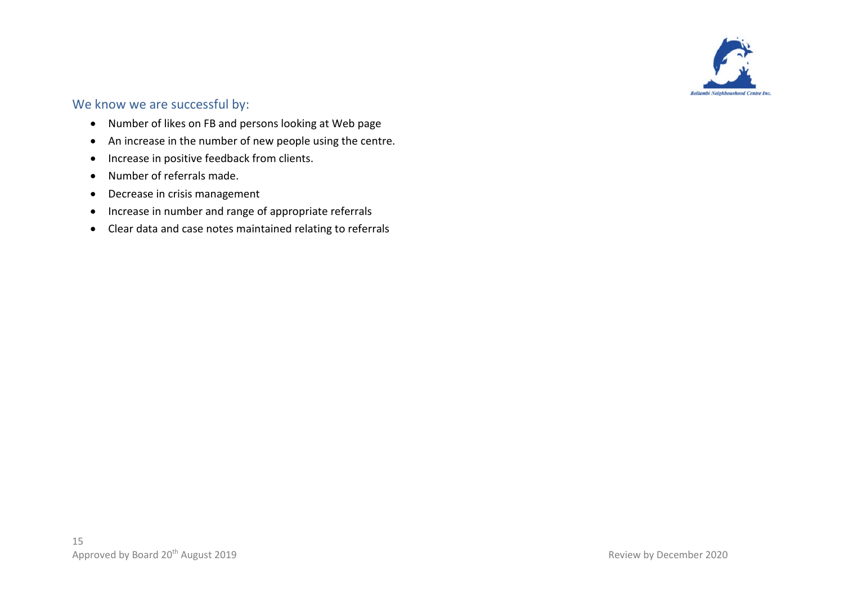

- Number of likes on FB and persons looking at Web page
- An increase in the number of new people using the centre.
- Increase in positive feedback from clients.
- Number of referrals made.
- Decrease in crisis management
- Increase in number and range of appropriate referrals
- Clear data and case notes maintained relating to referrals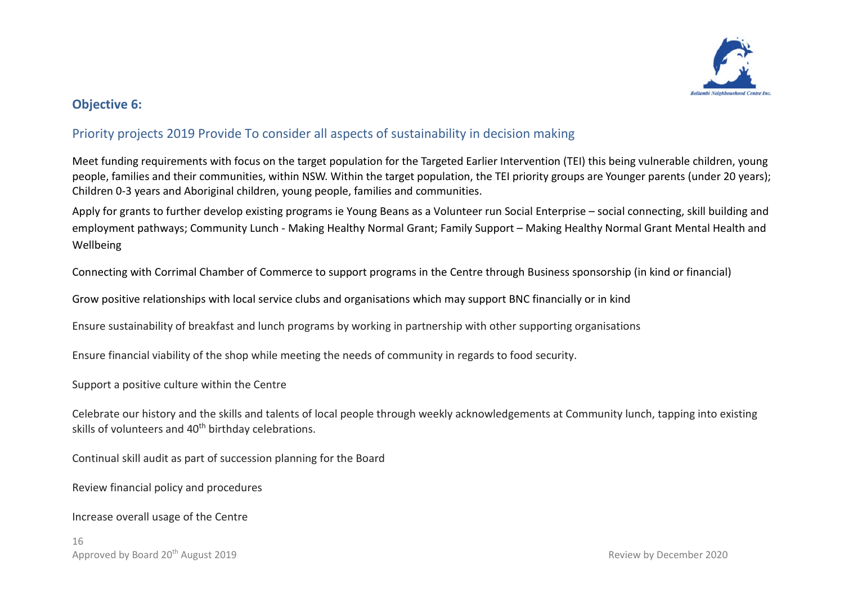

# **Objective 6:**

# Priority projects 2019 Provide To consider all aspects of sustainability in decision making

Meet funding requirements with focus on the target population for the Targeted Earlier Intervention (TEI) this being vulnerable children, young people, families and their communities, within NSW. Within the target population, the TEI priority groups are Younger parents (under 20 years); Children 0-3 years and Aboriginal children, young people, families and communities.

Apply for grants to further develop existing programs ie Young Beans as a Volunteer run Social Enterprise – social connecting, skill building and employment pathways; Community Lunch - Making Healthy Normal Grant; Family Support – Making Healthy Normal Grant Mental Health and Wellbeing

Connecting with Corrimal Chamber of Commerce to support programs in the Centre through Business sponsorship (in kind or financial)

Grow positive relationships with local service clubs and organisations which may support BNC financially or in kind

Ensure sustainability of breakfast and lunch programs by working in partnership with other supporting organisations

Ensure financial viability of the shop while meeting the needs of community in regards to food security.

Support a positive culture within the Centre

Celebrate our history and the skills and talents of local people through weekly acknowledgements at Community lunch, tapping into existing skills of volunteers and 40<sup>th</sup> birthday celebrations.

Continual skill audit as part of succession planning for the Board

Review financial policy and procedures

Increase overall usage of the Centre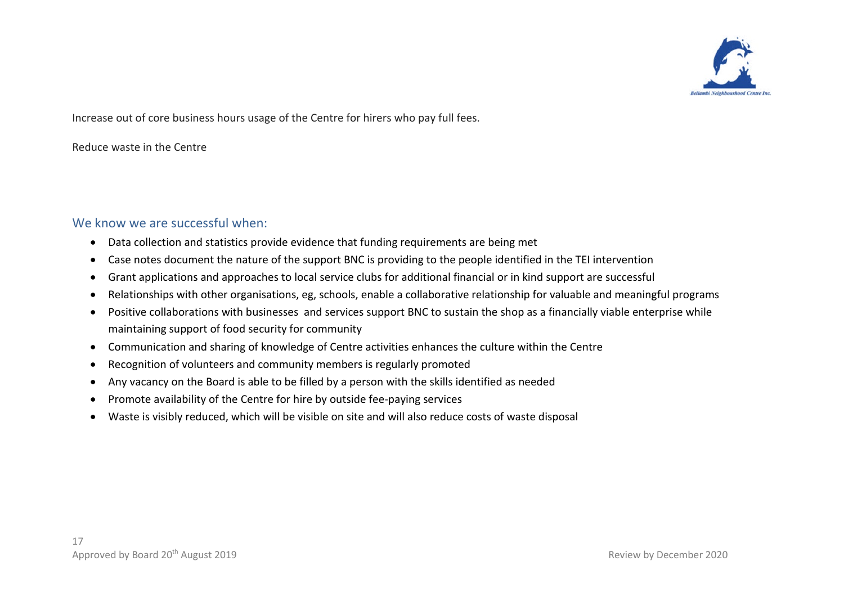

Increase out of core business hours usage of the Centre for hirers who pay full fees.

Reduce waste in the Centre

#### We know we are successful when:

- Data collection and statistics provide evidence that funding requirements are being met
- Case notes document the nature of the support BNC is providing to the people identified in the TEI intervention
- Grant applications and approaches to local service clubs for additional financial or in kind support are successful
- Relationships with other organisations, eg, schools, enable a collaborative relationship for valuable and meaningful programs
- Positive collaborations with businesses and services support BNC to sustain the shop as a financially viable enterprise while maintaining support of food security for community
- Communication and sharing of knowledge of Centre activities enhances the culture within the Centre
- Recognition of volunteers and community members is regularly promoted
- Any vacancy on the Board is able to be filled by a person with the skills identified as needed
- Promote availability of the Centre for hire by outside fee-paying services
- Waste is visibly reduced, which will be visible on site and will also reduce costs of waste disposal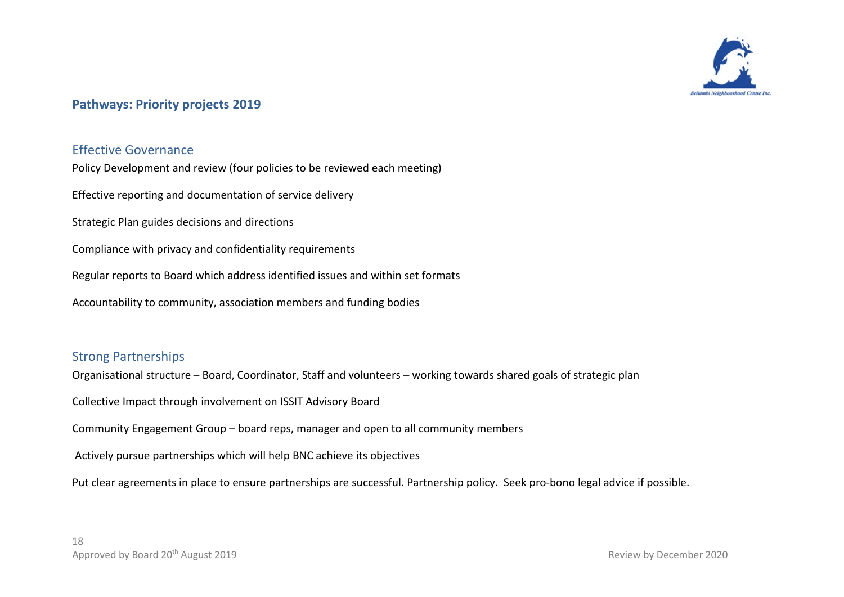

## **Pathways: Priority projects 2019**

#### Effective Governance

Policy Development and review (four policies to be reviewed each meeting)

Effective reporting and documentation of service delivery

Strategic Plan guides decisions and directions

Compliance with privacy and confidentiality requirements

Regular reports to Board which address identified issues and within set formats

Accountability to community, association members and funding bodies

#### Strong Partnerships

Organisational structure – Board, Coordinator, Staff and volunteers – working towards shared goals of strategic plan

Collective Impact through involvement on ISSIT Advisory Board

Community Engagement Group – board reps, manager and open to all community members

Actively pursue partnerships which will help BNC achieve its objectives

Put clear agreements in place to ensure partnerships are successful. Partnership policy. Seek pro-bono legal advice if possible.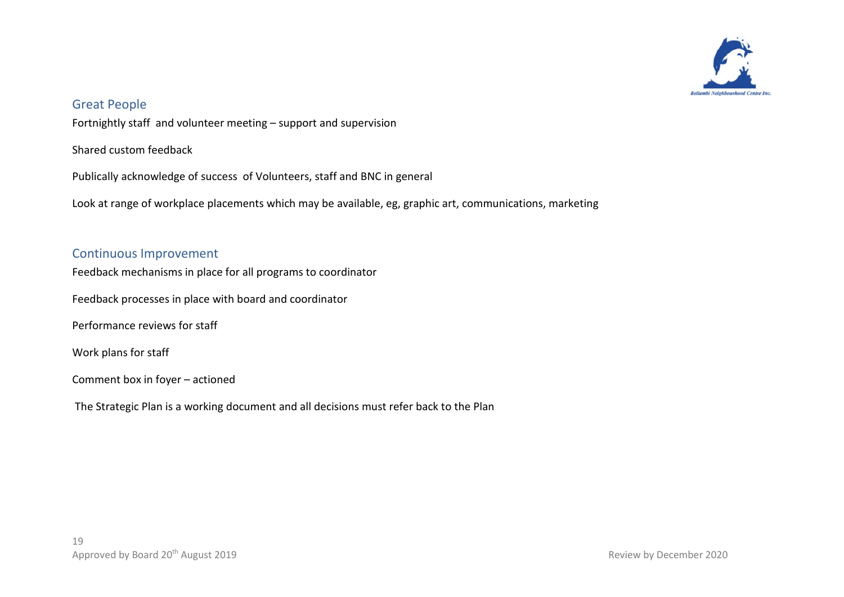

#### Great People

Fortnightly staff and volunteer meeting – support and supervision

Shared custom feedback

Publically acknowledge of success of Volunteers, staff and BNC in general

Look at range of workplace placements which may be available, eg, graphic art, communications, marketing

## Continuous Improvement

Feedback mechanisms in place for all programs to coordinator

Feedback processes in place with board and coordinator

Performance reviews for staff

Work plans for staff

Comment box in foyer – actioned

The Strategic Plan is a working document and all decisions must refer back to the Plan